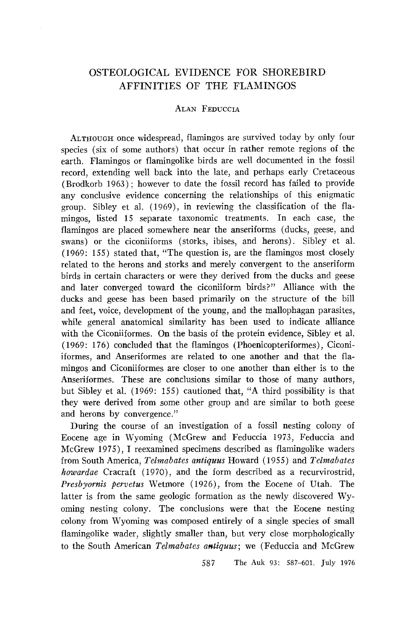# **OSTEOLOGICAL EVIDENCE FOR SHOREBIRD AFFINITIES OF THE FLAMINGOS**

### **ALAN FEDUCCIA**

**ALTHOUOH once widespread, flamingos are survived today by only four species (six of some authors) that occur in rather remote regions of the earth. Flamingos or flamingolike birds are well documented in the fossil record, extending well back into the late, and perhaps early Cretaceous (Brodkorb 1963); however to date the fossil record has failed to provide any conclusive evidence concerning the relationships of this enigmatic group. Sibley et al. (1969), in reviewing the classification of the flamingos, listed 15 separate taxonomic treatments. In each case, the flamingos are placed somewhere near the anseriforms (ducks, geese, and swans) or the ciconiiforms (storks, ibises, and herons). Sibley et al. (1969: 155) stated that, "The question is, are the flamingos most closely related to the herons and storks and merely convergent to the anseriform birds in certain characters or were they derived from the ducks and geese and later converged toward the ciconiiform birds?" Alliance with the ducks and geese has been based primarily on the structure of the bill and feet, voice, development of the young, and the mallophagan parasites, while general anatomical similarity has been used to indicate alliance**  with the Ciconiiformes. On the basis of the protein evidence, Sibley et al. **(1969: 176) concluded that the flamingos (Phoenicopteriformes), Ciconiiformes, and Anseriformes are related to one another and that the flamingos and Ciconiiformes are closer to one another than either is to the Anseriformes. These are conclusions similar to those of many authors, but Sibley et al. (1969: 155) cautioned that, "A third possibility is that they were derived from some other group and are similar to both geese and herons by convergence."** 

**During the course of an investigation of a fossil nesting colony of Eocene age in Wyoming (McGrew and Feduccia 1973, Feduccia and McGrew 1975), I reexamined specimens described as flamingolike waders from South America, Telmabates antiquus Howard (1955) and Telmabates howardae Cracraft (1970), and the form described as a recurvirostrid, Presbyornis pervetus Wetmore (1926), from the Eocene of Utah. The latter is from the same geologic formation as the newly discovered Wyoming nesting colony. The conclusions were that the Eocene nesting colony from Wyoming was composed entirely of a single species of small flamingolike wader, slightly smaller than, but very close morphologically to the South American Telmabates antiquus; we (Feduccia and McGrew** 

**587 The Auk 93: 587-601. July 1976**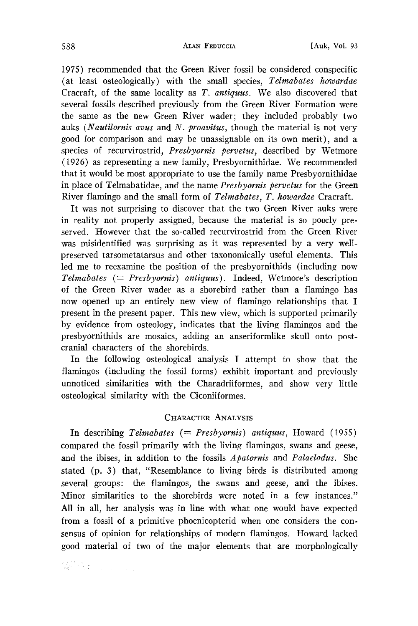**1975) recommended that the Green River fossil be considered conspecific (at least osteologically) with the small species, Telmabates howardae Cracraft, of the same locality as T. antiquus. We also discovered that several fossils described previously from the Green River Formation were the same as the new Green River wader; they included probably two auks (Nautilornis avus and N. proavitus, though the material is not very good for comparison and may be unassignable on its own merit), and a species of recurvirostrid, Presbyornis pervetus, described by Wetmore (1926) as representing a new family, Presbyornithidae. We recommended that it would be most appropriate to use the family name Presbyornithidae**  in place of Telmabatidae, and the name Presbyornis pervetus for the Green **River flamingo and the small form of Telmabates, T. howardae Cracraft.** 

**It was not surprising to discover that the two Green River auks were in reality not properly assigned, because the material is so poorly preserved. However that the so-called recurvirostrid from the Green River was misidentified was surprising as it was represented by a very wellpreserved tarsometatarsus and other taxonomically useful elements. This led me to reexamine the position of the presbyornithids (including now**   $Telmabates (= Presbyornis) antiquus)$ . Indeed, Wetmore's description **of the Green River wader as a shorebird rather than a flamingo has now opened up an entirely new view of flamingo relationships that I present in the present paper. This new view, which is supported primarily by evidence from osteology, indicates that the living flamingos and the presbyornithids are mosaics, adding an anseriformlike skull onto postcranial characters of the shorebirds.** 

**In the following osteological analysis I attempt to show that the flamingos (including the fossil forms) exhibit important and previously unnoticed similarities with the Charadriiformes, and show very little osteological similarity with the Ciconiiformes.** 

### **CHARACTER ANALYSIS**

**In describing Telmabates (= Presbyornis) antiquus, Howard (1955) compared the fossil primarily with the living flamingos, swans and geese, and the ibises, in addition to the fossils Apatornis and Palaelodus. She stated (p. 3) that, "Resemblance to living birds is distributed among several groups: the flamingos, the swans and geese, and the ibises. Minor similarities to the shorebirds were noted in a few instances." All in all, her analysis was in line with what one would have expected from a fossil of a primitive phoenicopterid when one considers the consensus of opinion for relationships of modern flamingos. Howard lacked good material of two of the major elements that are morphologically** 

编码 经工业工业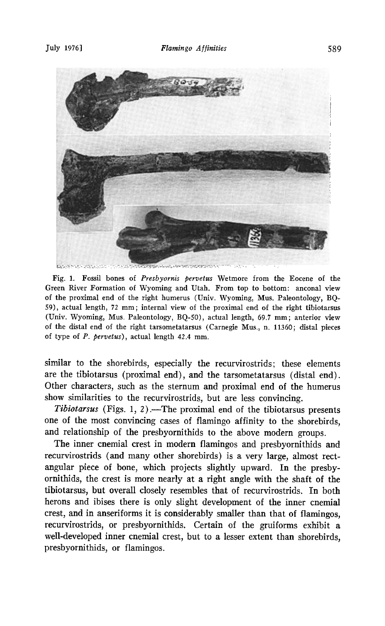

**Fig. 1. Fossil bones of Presbyornis pervetus Wetmore from the Eocene of the Green River Formation of Wyoming and Utah. From top to bottom: ancohal view of the proximal end of the right humerus (Univ. Wyoming, Mus. Paleontology, BQ-59), actual length, 72 ram; internal view of the proximal end of the right tibiotarsus (Univ. Wyoming, Mus. Paleontology, BQ-50), actual length, 69.7 mm; anterior view of the distal end of the right tarsometatarsus (Carnegie Mus.• n. 11360; distal pieces**  of type of P. pervetus), actual length 42.4 mm.

**similar to the shorebirds, especially the recurvirostrids: these elements are the tibiotarsus (proximal end), and the tarsometatarsus (distal end). Other characters, such as the sternum and proximal end of the humerus show similarities to the recurvirostrids, but are less convincing.** 

**Tibiotarsus** (Figs. 1, 2).—The proximal end of the tibiotarsus presents **one of the most convincing cases of flamingo affinity to the shorebirds, and relationship of the presbyornithids to the above modern groups.** 

**The inner cnemial crest in modern flamingos and presbyornithids and recurvirostrids (and many other shorebirds) is a very large, almost rectangular piece of bone, which projects slightly upward. In the presbyornithids, the crest is more nearly at a fight angle with the shaft of the**  tibiotarsus, but overall closely resembles that of recurvirostrids. In both **herons and ibises there is only slight development of the inner cnemial crest, and in anseriforms it is considerably smaller than that of flamingos, recurvirostrids, or presbyornithids. Certain of the gruiforms exhibit a well-developed inner cnemial crest, but to a lesser extent than shorebirds, presbyornithids, or flamingos.**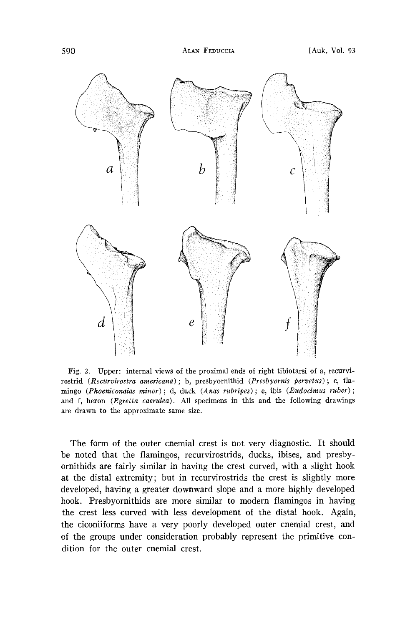

**Fig. 2. Upper: internal views of the proximal ends of right tibiotarsi of a, recurvirostrid (Recurvirostra americana); b, presbyornithid (Presbyornis pervetus); c, flamingo (Phoeniconaias minor); d, duck (Anas rubripes) ; e, ibis (Eudocimus ruber) ;**  and f, heron (Egretta caerulea). All specimens in this and the following drawings **are drawn to the approximate same size.** 

**The form of the outer cnemial crest is not very diagnostic. It should be noted that the flamingos, recurvirostrids, ducks, ibises, and presbyornithids are fairly similar in having the crest curved, with a slight hook at the distal extremity; but in recurvirostrids the crest is slightly more developed, having a greater downward slope and a more highly developed hook. Presbyornithids are more similar to modern flamingos in having the crest less curved with less development of the distal hook. Again, the ciconiiforms have a very poorly developed outer cnemial crest, and of the groups under consideration probably represent the primitive condition for the outer cnemial crest.**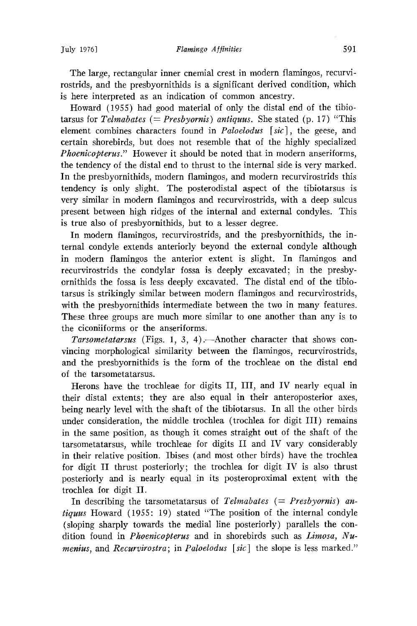The large, rectangular inner cnemial crest in modern flamingos, recurvi**rostrids, and the presbyornithids ia significant derived condition, which is here interpreted as an indication of common ancestry.** 

**Howard (1955) had good material of only the distal end of the tibio**tarsus for Telmabates ( $=$  Presbyornis) antiquus. She stated (p. 17) "This **element combines characters found in Paloelodus [sic], the geese, and certain shorebirds, but does not resemble that of the highly specialized Phoenicopterus." However it should be noted that in modern anseriforms, the tendency of the distal end to thrust to the internal side is very marked. In the presbyornithids, modern flamingos, and modern recurvirostrids this tendency is only slight. The posterodistal aspect of the tibiotarsus is very similar in modern flamingos and recurvirostrids, with a deep sulcus present between high ridges of the internal and external condyles. This is true also of presbyornithids, but to a lesser degree.** 

**In modern flamingos, recurvirostrids, and the presbyornithids, the internal condyle extends anteriorly beyond the external condyle although in modern flamingos the anterior extent is slight. In flamingos and recurvirostrids the condylar fossa is deeply excavated; in the presbyornithids the fossa is less deeply excavated. The distal end of the tibiotarsus is strikingly similar between modern flamingos and recurvirostrids, with the presbyornithids intermediate between the two in many features. These three groups are much more similar to one another than any is to the ciconiiforms or the anseriforms.** 

Tarsometatarsus (Figs. 1, 3, 4). Another character that shows con**vincing morphological similarity between the flamingos, recurvirostrids, and the presbyornithids is the form of the trochleae on the distal end of the tarsometatarsus.** 

**Herons have the trochleae for digits II, III, and IV nearly equal in their distal extents; they are also equal in their anteroposterior axes, being nearly level with the shaft of the tibiotarsus. In all the other birds under consideration, the middle trochlea (trochlea for digit III) remains in the same position, as though it comes straight out of the shaft of the tarsometatarsus, while trochleae for digits II and IV vary considerably in their relative position. Ibises (and most other birds) have the trochlea for digit II thrust posteriorly; the trochlea for digit IV is also thrust posteriorly and is nearly equal in its posteroproximal extent with the trochlea for digit II.** 

**In describing the tarsometatarsus of Telmabates (= Presbyornis) antiquus Howard (1955: 19) stated "The position of the internal condyle (sloping sharply towards the medial line posteriorly) parallels the condition found in Phoenicopterus and in shorebirds such as Limosa, Numenius, and Recurvirostra; in Paloelodus [sic] the slope is less marked."**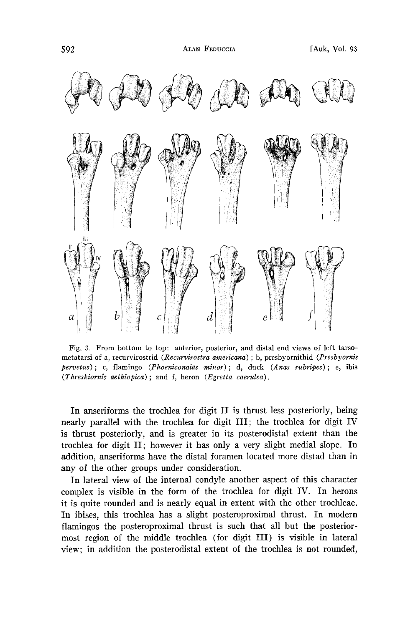

**Fig. 3. From bottom to top: anterior, posterior, and distal end views of left tarsometatarsi of a, recurvirostrid (Recurvirostra americana); b, presbyornithid (Presbyornis pervetus) ; c, flamingo (Phoerdconaias minor); d, duck (Anas rubripes); e, ibis**  (Threskiornis aethiopica); and f, heron (Egretta caerulea).

**In anseriforms the trochlea for digit II is thrust less posteriorly, being nearly parallel with the trochlea for digit III; the trochlea for digit IV is thrust posteriorly, and is greater in its posterodistal extent than the trochlea for digit II; however it has only a very slight medial slope. In addition, anseriforms have the distal foramen located more distad than in any of the other groups under consideration.** 

**In lateral view of the internal condyle another aspect of this character complex is visible in the form of the trochlea for digit IV. In herons it is quite rounded and is nearly equal in extent with the other trochleae. In ibises, this trochlea has a slight posteroproximal thrust. In modern flamingos the posteroproximal thrust is such that all but the posterior**most region of the middle trochlea (for digit III) is visible in lateral **view; in addition the posterodistal extent of the trochlea is not rounded,**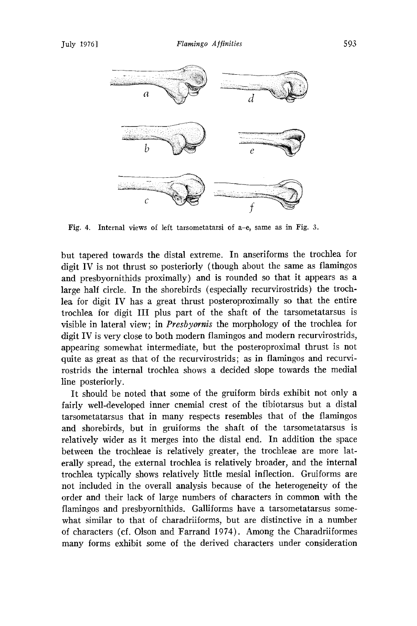



Fig. 4. Internal views of left tarsometatarsi of a-e, same as in Fig. 3.

**but tapered towards the distal extreme. In anseriforms the trochlea for digit IV is not thrust so posteriorly (though about the same as flamingos and presbyornithids proximally) and is rounded so that it appears as a large half circle. In the shorebirds (especially recurvirostrids) the troch**lea for digit IV has a great thrust posteroproximally so that the entire **trochlea for digit III plus part of the shaft of the tarsometatarsus is visible in lateral view; in Presbyornis the morphology of the trochlea for digit IV is very close to both modern flamingos and modern recurvirostrids, appearing somewhat intermediate, but the posteroproximal thrust is not quite as great as that of the recurvirostrids; as in flamingos and recurvirostrids the internal trochlea shows a decided slope towards the medial line posteriorly.** 

It should be noted that some of the gruiform birds exhibit not only a **fairly well-developed inner cnemial crest of the tibiotarsus but a distal tarsometatarsus that in many respects resembles that of the flamingos and shorebirds, but in gruiforms the shaft of the tarsometatarsus i relatively wider as it merges into the distal end. In addition the space between the trochleae is relatively greater, the trochleae are more laterally spread, the external trochlea is relatively broader, and the internal trochlea typically shows relatively little mesial inflection. Gruiforms are not included in the overall analysis because of the heterogeneity of the order and their lack of large numbers of characters in common with the flamingos and presbyornithids. Galliforms have a tarsometatarsus somewhat similar to that of charadriiforms, but are distinctive in a number of characters (cf. Olson and Farrand 1974). Among the Charadriiformes many forms exhibit some of the derived characters under consideration**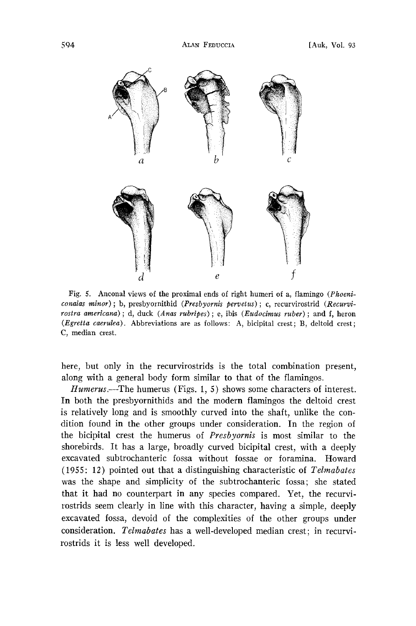

**Fig. 5. Anconal views of the proximal ends of right humeri of a, flamingo (Phoeni**conaias minor); b, presbyornithid (Presbyornis pervetus); c, recurvirostrid (Recurvirostra americana); d, duck (Anas rubripes); e, ibis (Eudocimus ruber); and f, heron **(Egretta caerulea). Abbreviations are as follows: A, bicipital crest; B, deltoid crest; C, median crest.** 

**here, but only in the recurvirostrids is the total combination present, along with a general body form similar to that of the flamingos.** 

**Humerus.--The humerus (Figs. 1, 5) shows some characters of interest. In both the presbyornithids and the modern flamingos the deltoid crest is relatively long and is smoothly curved into the shaft, unlike the condition found in the other groups under consideration. In the region of the bicipital crest the humerus of Presbyornis is most similar to the shorebirds. It has a large, broadly curved bicipital crest, with a deeply excavated subtrochanteric fossa without fossae or foramina. Howard (1955: 12) pointed out that a distinguishing characteristic of Telrnabates was the shape and simplicity of the subtrochanteric fossa; she stated that it had no counterpart in any species compared. Yet, the recurvirostrids seem clearly in line with this character, having a simple, deeply excavated fossa, devoid of the complexities of the other groups under consideration. Telmabates has a well-developed median crest; in recurvirostrids it is less well developed.**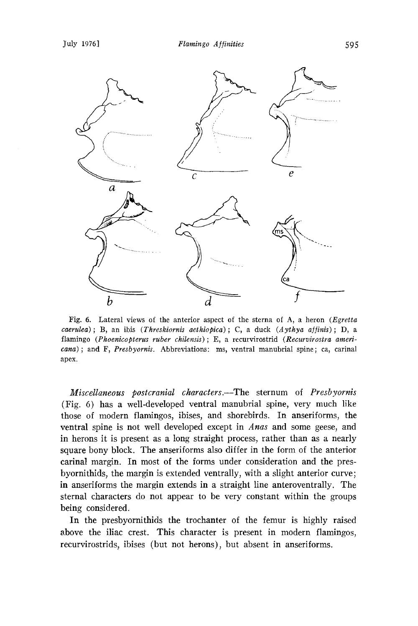

**Fig. 6. Lateral views of the anterior aspect of the sterna of A, a heron (Egretta caerulea) ; B, an ibis (Threskiornis aethiopica) ; C, a duck (Aythya affinis) ; D, a**  flamingo (Phoenicopterus ruber chilensis); E, a recurvirostrid (Recurvirostra ameri**cana); and F, Presbyornis. Abbreviations: ms, ventral manubrial spine; ca, carinal apex.** 

**Miscellaneous postcranial characters.--The sternum of Presbyornis (Fig. 6) has a well-developed ventral manubrial spine, very much like those of modern flamingos, ibises, and shorebirds. In anseriforms, the ventral spine is not well developed except in Anas and some geese, and in herons it is present as a long straight process, rather than as a nearly square bony block. The anseriforms also differ in the form of the anterior carinal margin. In most of the forms under consideration and the presbyornithids, the margin is extended ventrally, with a slight anterior curve; in anseriforms the margin extends in a straight line anteroventrally. The sternal characters do not appear to be very constant within the groups being considered.** 

**In the presbyornithids the trochanter of the femur is highly raised above the iliac crest. This character is present in modern flamingos,**  recurvirostrids, ibises (but not herons), but absent in anseriforms.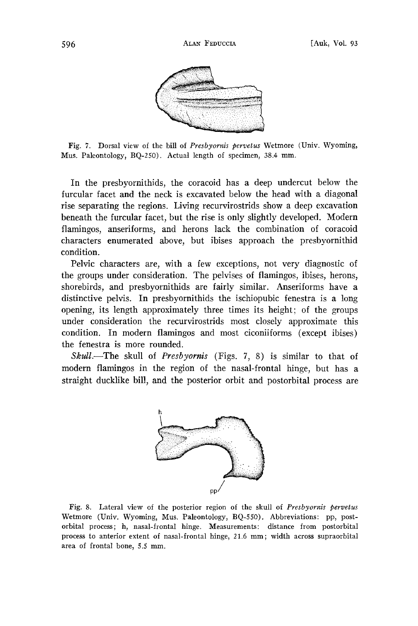

**Fig. 7. Dorsal view of the bill of Presbyornis pervetus Wetmore (Univ. Wyoming, Mus. Paleontology, BQ-250). Actual length of specimen, 38.4 mm.** 

In the presbyornithids, the coracoid has a deep undercut below the **furcular facet and the neck is excavated below the head with a diagonal**  rise separating the regions. Living recurvirostrids show a deep excavation **beneath the furcular facet, but the rise is only slightly developed. Modern**  flamingos, anseriforms, and herons lack the combination of coracoid **characters enumerated above, but ibises approach the presbyornithid condition.** 

**Pelvic characters are, with a few exceptions, not very diagnostic of the groups under consideration. The pelvises of flamingos, ibises, herons, shorebirds, and presbyornithids are fairly similar. Anseriforms have a distinctive pelvis. In presbyornithids the ischiopubic fenestra is a long opening, its length approximately three times its height; of the groups under consideration the recurvirostrids most closely approximate this condition. In modern flamingos and most ciconiiforms (except ibises) the fenestra is more rounded.** 

Skull.-The skull of Presbyornis (Figs. 7, 8) is similar to that of **modern flamingos in the region of the nasal-frontal hinge, but has a straight ducklike bill, and the posterior orbit and postorbital process are** 



**Fig. 8. Lateral view of the posterior region of the skull of Presbyornis pervetus Wetmore (Univ. Wyoming, Mus. Paleontology, BQ-550). Abbreviations: pp, postorbital process; h, nasal-frontal hinge. Measurements: distance from postorbital process to anterior extent of nasal-frontal hinge, 21.6 mm; width across supraorbital area of frontal bone, 5.5 mm.**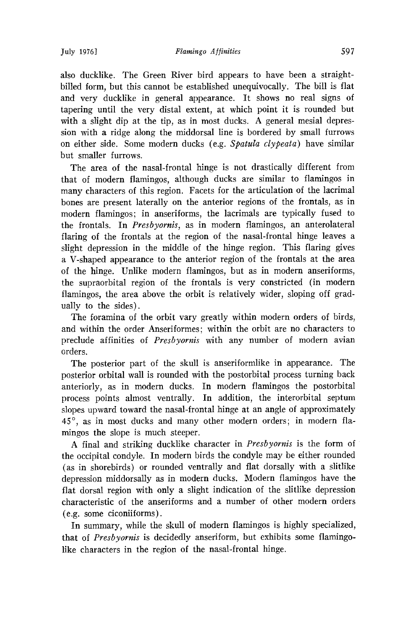**also ducklike. The Green River bird appears to have been a straightbilled form, but this cannot be established unequivocally. The bill is flat and very ducklike in general appearance. It shows no real signs of tapering until the very distal extent, at which point it is rounded but**  with a slight dip at the tip, as in most ducks. A general mesial depres**sion with a ridge along the middorsal line is bordered by small furrows on either side. Some modern ducks (e.g. Spatula clypeata) have similar but smaller furrows.** 

**The area of the nasal-frontal hinge is not drastically different from that of modern flamingos, although ducks are similar to flamingos in many characters of this region. Facets for the articulation of the lacrimal bones are present laterally on the anterior regions of the frontals, as in modern flamingos; in anseriforms, the lacrimals are typically fused to the frontals. In Presbyornis, as in modern flamingos, an anterolateral flaring of the frontals at the region of the nasal-frontal hinge leaves a slight depression in the middle of the hinge region. This flaring gives a V-shaped appearance to the anterior region of the frontals at the area of the hinge. Unlike modern flamingos, but as in modern anseriforms, the supraorbital region of the frontals is very constricted (in modern flamingos, the area above the orbit is relatively wider, sloping off gradually to the sides).** 

**The foramina of the orbit vary greatly within modern orders of birds, and within the order Anseriformes; within the orbit are no characters to preclude affinities of Presbyornis with any number of modern avian orders.** 

**The posterior part of the skull is anseriformlike in appearance. The posterior orbital wall is rounded with the postorbital process turning back anteriorly, as in modern ducks. In modern flamingos the postorbital**  process points almost ventrally. In addition, the interorbital septum **slopes upward toward the nasal-frontal hinge at an angle of approximately**  45°, as in most ducks and many other modern orders; in modern fla**mingos the slope is much steeper.** 

**A final and striking ducklike character in Presbyornis is the form of the occipital condyle. In modern birds the condyle may be either rounded (as in shorebirds) or rounded ventrally and flat dorsally with a slitlike depression middorsally as in modern ducks. Modern flamingos have the flat dorsal region with only a slight indication of the slitlike depression characteristic of the anseriforms and a number of other modern orders (e.g. some ciconiiforms).** 

**In summary, while the skull of modern flamingos is highly specialized, that of Presbyornis is decidedly anseriform, but exhibits some flamingolike characters in the region of the nasal-frontal hinge.**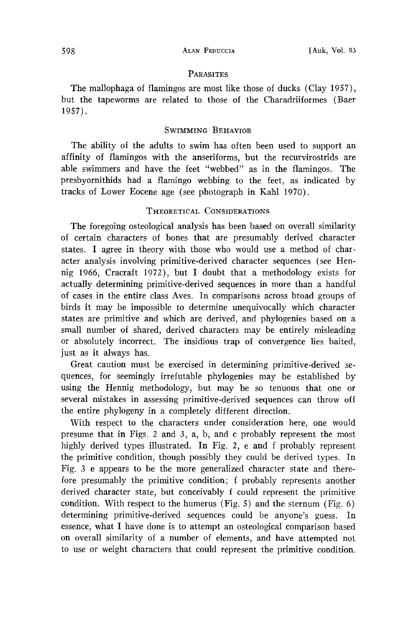#### **PARASITES**

**The mallophaga of flamingos are most like those of ducks (Clay 1957), but the tapeworms are related to those of the Charadriiformes (Baer 1957).** 

## **SWIMMING BEHAVIOR**

**The ability of the adults to swim has often been used to support an affinity of flamingos with the anseriforms, but the recurvirostrids are able swimmers and have the feet "webbed" as in the flamingos. The presbyornithids had a flamingo webbing to the feet, as indicated by tracks of Lower Eocene age (see photograph in Kahl 1970).** 

### **THEORETICAL CONSIDERATIONS**

**The foregoing osteological analysis has been based on overall similarity of certain characters of bones that are presumably derived character states. I agree in theory with those who would use a method of character analysis involving primitive-derived character sequences (see Hennig 1966, Cracraft 1972), but I doubt that a methodology exists for actually determining primitive-derived sequences in more than a handful of cases in the entire class Aves. In comparisons across broad groups of birds it may be impossible to determine unequivocally which character states are primitive and which are derived, and phylogenies based on a small number of shared, derived characters may be entirely misleading or absolutely incorrect. The insidious trap of convergence lies baited, just as it always has.** 

**Great caution must be exercised in determining primitive-derived sequences, for seemingly irrefutable phylogenies may be established by using the Hennig methodology, but may be so tenuous that one or several mistakes in assessing primitive-derived sequences can throw off the entire phylogeny in a completely different direction.** 

**With respect to the characters under consideration here, one would presume that in Figs. 2 and 3, a, b, and c probably represent the most highly derived types illustrated. In Fig. 2, e and f probably represent the primitive condition, though possibly they could be derived types. In Fig. 3 e appears to be the more generalized character state and therefore presumably the primitive condition; f probably represents another**  derived character state, but conceivably f could represent the primitive condition. With respect to the humerus (Fig. 5) and the sternum (Fig. 6) **determining primitive-derived sequences could be anyone's guess. In essence, what I have done is to attempt an osteological comparison based on overall similarity of a number of elements, and have attempted not to use or weight characters that could represent the primitive condition.**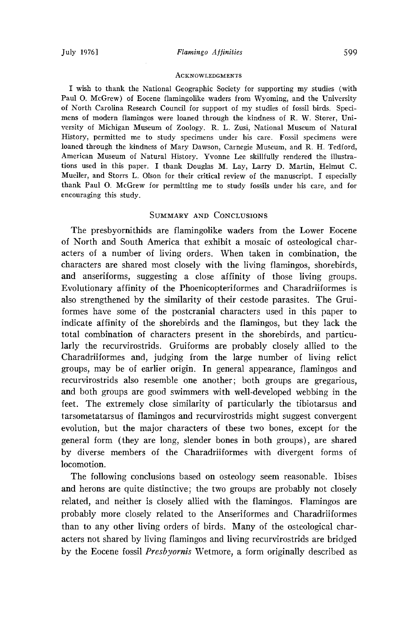#### **ACKNOWLEDGMENTS**

**I wish to thank the National Geographic Society for supporting my studies (with Paul O. McGrew) of Eocene flamingolike waders from Wyoming, and the University of North Carolina Research Council for support of my studies of fossil birds. Spedmens of modern flamingos were loaned through the kindness of R. W. Storer, University of Michigan Museum of Zoology. R. L. Zusi, National Museum of Natural History, permitted me to study specimens under his care. Fossil specimens were loaned through the kindness of Mary Dawson, Carnegie Museum, and R. H. Tedford, American Museum of Natural History. Yvonne Lee skillfully rendered the illustrations used in this paper. I thank Douglas M. Lay, Larry D. Martin, Helmut C. Mueller, and Storrs L. Olson for their critical review of the manuscript. I especially thank Paul O. McGrew for permitting me to study fossils under his care, and for encouraging this study.** 

#### **SUMMARY AND CONCLUSIONS**

**The presbyornithids are flamingolike waders from the Lower Eocene of North and South America that exhibit a mosaic of osteologica] characters of a number of living orders. When taken in combination, the characters are shared most closely with the l{ving flamingos, shorebirds, and anseriforms, suggesting a close affinity of those living groups. Evolutionary affinity of the Phoenicopteriformes and Charadr{iformes is also strengthened by the similarity of their cestode parasites. The Gruiformes have some of the postcranial characters used in this paper to {ndicate affinity of the shorebirds and the flamingos, but they lack the total combination of characters present in the shorebirds, and particu**larly the recurvirostrids. Gruiforms are probably closely allied to the **Charadriiformes and, judging from the large number of living relict groups, may be of earlier origin. In general appearance, flamingos and recurvirostrids also resemble one another; both groups are gregarious, and both groups are good swimmers with well-developed webbing in the feet. The extremely close similarity of particularly the tibiotarsus and**  tarsometatarsus of flamingos and recurvirostrids might suggest convergent **evolution, but the major characters of these two bones, except for the general form (they are long, slender bones in both groups), are shared by diverse members of the Charadriiformes with divergent forms of locomotion.** 

**The following conclusions based on osteology seem reasonable. Ibises and herons are quite distinctive; the two groups are probably not closely related, and neither is closely allied with the flamingos. Flamingos are probably more closely related to the Anseriformes and Charadriiformes than to any other living orders of birds. Many of the osteologica] characters not shared by living flamingos and living recurvirostrids are bridged by the Eocene fossil Presbyornis Wetmore, a form originally described as**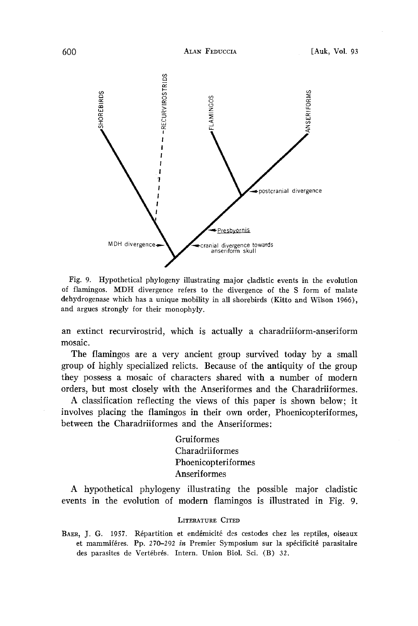

**Fig. 9. Hypothetical phylogeny illustrating major cladistic events in the evolution of flamingos. MDH divergence refers to the divergence of the S form of malate dehydrogenase which has a unique mobility in all shorebirds (Kitto and Wilson 1966), and argues strongly for their monophyly.** 

**an extinct recurvirostrid, which is actually a charadriiform-anseriform mosaic.** 

**The flamingos are a very ancient group survived today by a small group of highly specialized relicts. Because of the antiquity of the group they possess a mosaic of characters shared with a number of modern orders, but most closely with the Anseriformes and the Charadriiformes.** 

**A classification reflecting the views of this paper is shown below; it involves placing the flamingos in their own order, Phoenicopteriformes, between the Charadriiformes and the Anseriformes:** 

> **Gruiformes Charadriiformes Phoenicopteri formes Anseriformes**

**A hypothetical phylogeny illustrating the possible major cladistic events in the evolution of modern flamingos is illustrated in Fig. 9.** 

#### **LITERATURE CITED**

BAER, J. G. 1957. Répartition et endémicité des cestodes chez les reptiles, oiseaux et mammiféres. Pp. 270-292 in Premier Symposium sur la spécificité parasitaire des parasites de Vertébrés. Intern. Union Biol. Sci. (B) 32.